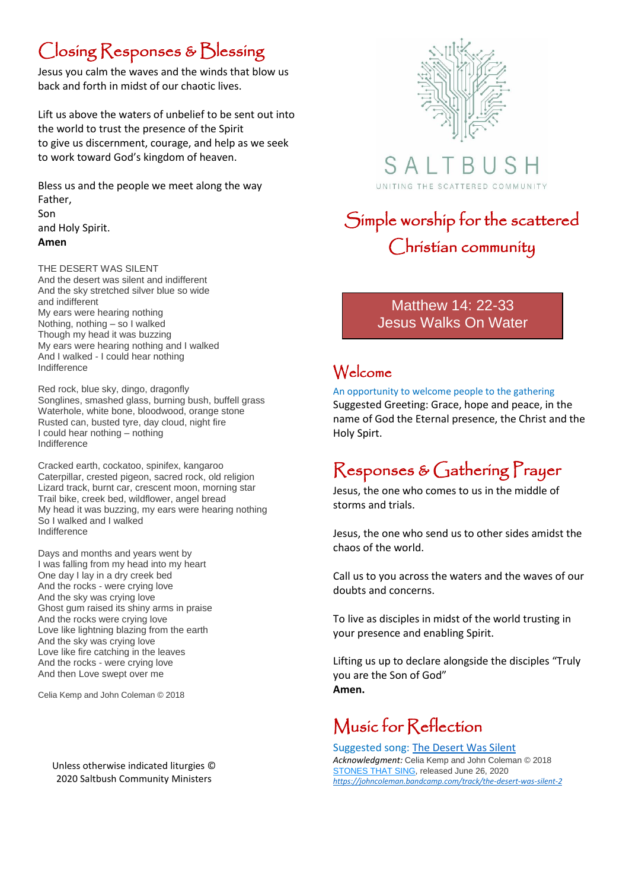### Closing Responses & Blessing

Jesus you calm the waves and the winds that blow us back and forth in midst of our chaotic lives.

Lift us above the waters of unbelief to be sent out into the world to trust the presence of the Spirit to give us discernment, courage, and help as we seek to work toward God's kingdom of heaven.

Bless us and the people we meet along the way Father, Son and Holy Spirit. **Amen**

THE DESERT WAS SILENT And the desert was silent and indifferent And the sky stretched silver blue so wide and indifferent My ears were hearing nothing Nothing, nothing – so I walked Though my head it was buzzing My ears were hearing nothing and I walked And I walked - I could hear nothing Indifference

Red rock, blue sky, dingo, dragonfly Songlines, smashed glass, burning bush, buffell grass Waterhole, white bone, bloodwood, orange stone Rusted can, busted tyre, day cloud, night fire I could hear nothing – nothing Indifference

Cracked earth, cockatoo, spinifex, kangaroo Caterpillar, crested pigeon, sacred rock, old religion Lizard track, burnt car, crescent moon, morning star Trail bike, creek bed, wildflower, angel bread My head it was buzzing, my ears were hearing nothing So I walked and I walked Indifference

Days and months and years went by I was falling from my head into my heart One day I lay in a dry creek bed And the rocks - were crying love And the sky was crying love Ghost gum raised its shiny arms in praise And the rocks were crying love Love like lightning blazing from the earth And the sky was crying love Love like fire catching in the leaves And the rocks - were crying love And then Love swept over me

Celia Kemp and John Coleman © 2018

Unless otherwise indicated liturgies © 2020 Saltbush Community Ministers



 $\mathsf{A}$ UNITING THE SCATTERED COMMUNITY

## Simple worship for the scattered Christian community

### Matthew 14: 22-33 Jesus Walks On Water

### Welcome

An opportunity to welcome people to the gathering Suggested Greeting: Grace, hope and peace, in the name of God the Eternal presence, the Christ and the Holy Spirt.

## Responses & Gathering Prayer

Jesus, the one who comes to us in the middle of storms and trials.

Jesus, the one who send us to other sides amidst the chaos of the world.

Call us to you across the waters and the waves of our doubts and concerns.

To live as disciples in midst of the world trusting in your presence and enabling Spirit.

Lifting us up to declare alongside the disciples "Truly you are the Son of God" **Amen.**

### Music for Reflection

Suggested song: [The Desert Was Silent](https://johncoleman.bandcamp.com/track/the-desert-was-silent-2) *Acknowledgment:* Celia Kemp and John Coleman © 2018 [STONES THAT SING,](https://johncoleman.bandcamp.com/album/stones-that-sing) released June 26, 2020 *<https://johncoleman.bandcamp.com/track/the-desert-was-silent-2>*